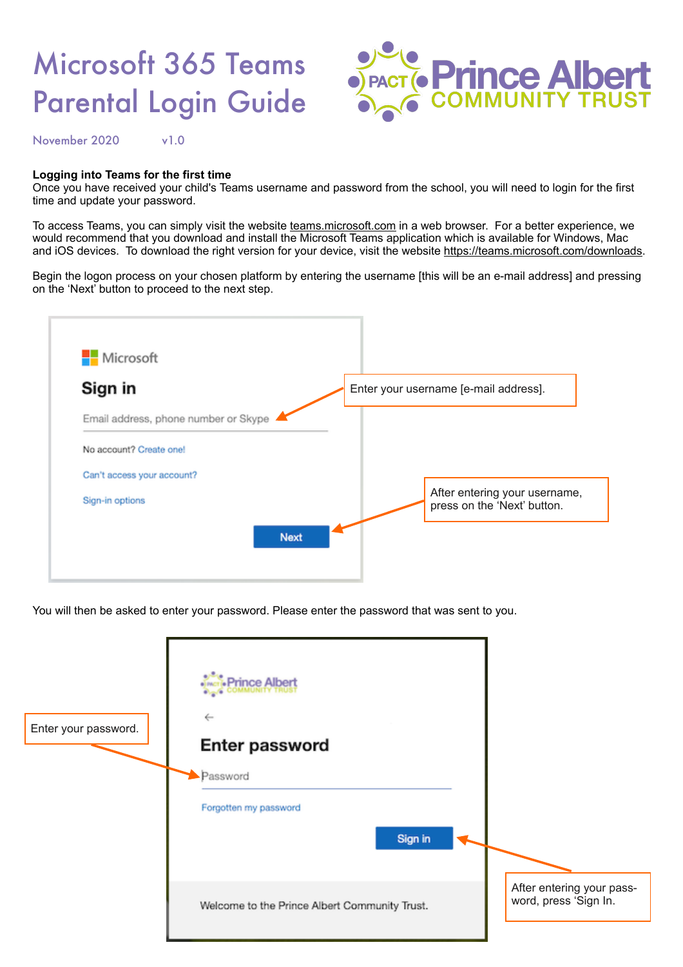## Microsoft 365 Teams Parental Login Guide



November 2020 v1.0

## **Logging into Teams for the first time**

Once you have received your child's Teams username and password from the school, you will need to login for the first time and update your password.

To access Teams, you can simply visit the website [teams.microsoft.com](http://teams.microsoft.com) in a web browser. For a better experience, we would recommend that you download and install the Microsoft Teams application which is available for Windows, Mac and iOS devices. To download the right version for your device, visit the website [https://teams.microsoft.com/downloads.](https://teams.microsoft.com/downloads)

Begin the logon process on your chosen platform by entering the username [this will be an e-mail address] and pressing on the 'Next' button to proceed to the next step.



You will then be asked to enter your password. Please enter the password that was sent to you.

| Enter your password. | 'rince Albert<br>$\leftarrow$<br>Enter password<br>Password<br>Forgotten my password<br>Sign in |                                                    |
|----------------------|-------------------------------------------------------------------------------------------------|----------------------------------------------------|
|                      | Welcome to the Prince Albert Community Trust.                                                   | After entering your pass-<br>word, press 'Sign In. |